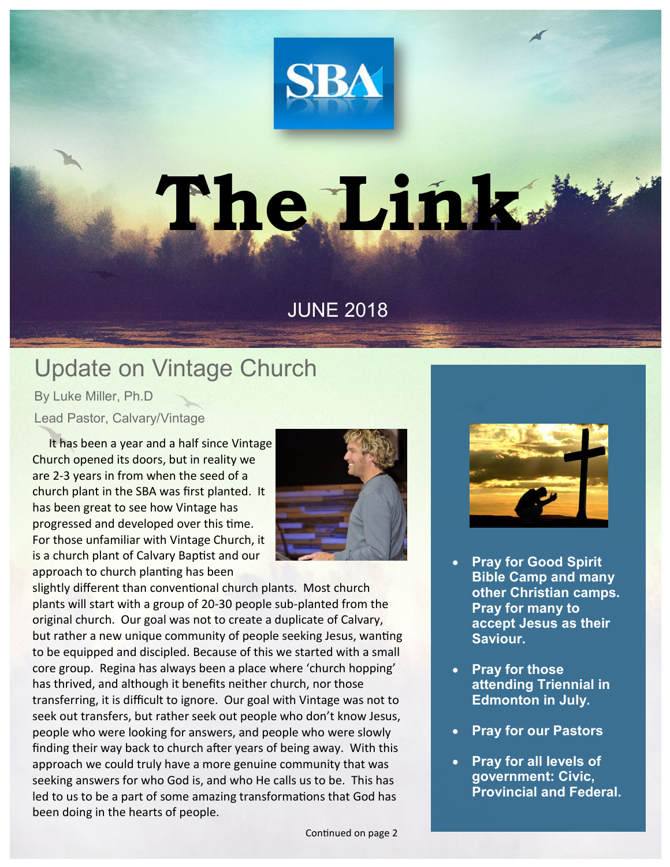

## **The Link**

## JUNE 2018

## Update on Vintage Church

By Luke Miller, Ph.D Lead Pastor, Calvary/Vintage

 It has been a year and a half since Vintage Church opened its doors, but in reality we are 2-3 years in from when the seed of a church plant in the SBA was first planted. It has been great to see how Vintage has progressed and developed over this time. For those unfamiliar with Vintage Church, it is a church plant of Calvary Baptist and our approach to church planting has been



slightly different than conventional church plants. Most church plants will start with a group of 20-30 people sub-planted from the original church. Our goal was not to create a duplicate of Calvary, but rather a new unique community of people seeking Jesus, wanting to be equipped and discipled. Because of this we started with a small core group. Regina has always been a place where 'church hopping' has thrived, and although it benefits neither church, nor those transferring, it is difficult to ignore. Our goal with Vintage was not to seek out transfers, but rather seek out people who don't know Jesus, people who were looking for answers, and people who were slowly finding their way back to church after years of being away. With this approach we could truly have a more genuine community that was seeking answers for who God is, and who He calls us to be. This has led to us to be a part of some amazing transformations that God has been doing in the hearts of people.



- **Pray for Good Spirit Bible Camp and many other Christian camps. Pray for many to accept Jesus as their Saviour.**
- **Pray for those attending Triennial in Edmonton in July.**
- **Pray for our Pastors**
- **Pray for all levels of government: Civic, Provincial and Federal.**